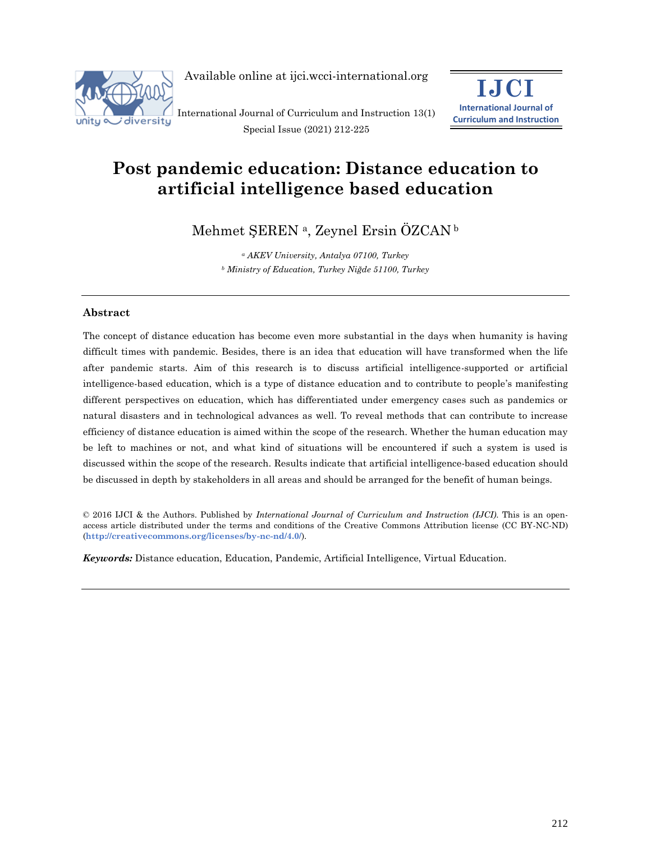

Available online at ijci.wcci-international.org

International Journal of Curriculum and Instruction 13(1) Special Issue (2021) 212-225



# **Post pandemic education: Distance education to artificial intelligence based education**

Mehmet ŞEREN <sup>a</sup>, Zeynel Ersin ÖZCAN <sup>b</sup>

*<sup>a</sup> AKEV University, Antalya 07100, Turkey <sup>b</sup> Ministry of Education, Turkey Niğde 51100, Turkey*

## **Abstract**

The concept of distance education has become even more substantial in the days when humanity is having difficult times with pandemic. Besides, there is an idea that education will have transformed when the life after pandemic starts. Aim of this research is to discuss artificial intelligence-supported or artificial intelligence-based education, which is a type of distance education and to contribute to people's manifesting different perspectives on education, which has differentiated under emergency cases such as pandemics or natural disasters and in technological advances as well. To reveal methods that can contribute to increase efficiency of distance education is aimed within the scope of the research. Whether the human education may be left to machines or not, and what kind of situations will be encountered if such a system is used is discussed within the scope of the research. Results indicate that artificial intelligence-based education should be discussed in depth by stakeholders in all areas and should be arranged for the benefit of human beings.

© 2016 IJCI & the Authors. Published by *International Journal of Curriculum and Instruction (IJCI)*. This is an openaccess article distributed under the terms and conditions of the Creative Commons Attribution license (CC BY-NC-ND) (**http://creativecommons.org/licenses/by-nc-nd/4.0/**).

*Keywords:* Distance education, Education, Pandemic, Artificial Intelligence, Virtual Education.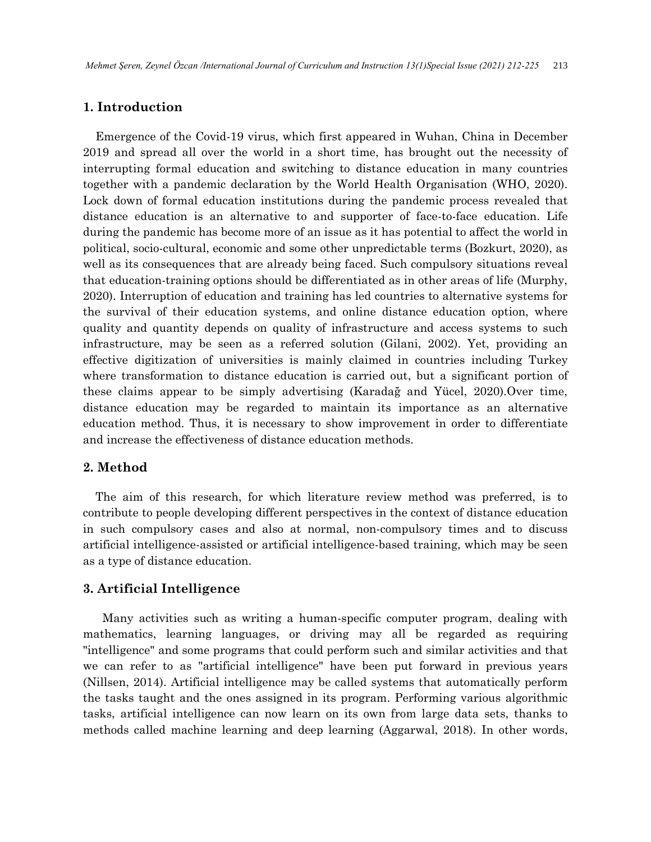# **1. Introduction**

Emergence of the Covid-19 virus, which first appeared in Wuhan, China in December 2019 and spread all over the world in a short time, has brought out the necessity of interrupting formal education and switching to distance education in many countries together with a pandemic declaration by the World Health Organisation (WHO, 2020). Lock down of formal education institutions during the pandemic process revealed that distance education is an alternative to and supporter of face-to-face education. Life during the pandemic has become more of an issue as it has potential to affect the world in political, socio-cultural, economic and some other unpredictable terms (Bozkurt, 2020), as well as its consequences that are already being faced. Such compulsory situations reveal that education-training options should be differentiated as in other areas of life (Murphy, 2020). Interruption of education and training has led countries to alternative systems for the survival of their education systems, and online distance education option, where quality and quantity depends on quality of infrastructure and access systems to such infrastructure, may be seen as a referred solution (Gilani, 2002). Yet, providing an effective digitization of universities is mainly claimed in countries including Turkey where transformation to distance education is carried out, but a significant portion of these claims appear to be simply advertising (Karadağ and Yücel, 2020).Over time, distance education may be regarded to maintain its importance as an alternative education method. Thus, it is necessary to show improvement in order to differentiate and increase the effectiveness of distance education methods.

## **2. Method**

The aim of this research, for which literature review method was preferred, is to contribute to people developing different perspectives in the context of distance education in such compulsory cases and also at normal, non-compulsory times and to discuss artificial intelligence-assisted or artificial intelligence-based training, which may be seen as a type of distance education.

## **3. Artificial Intelligence**

 Many activities such as writing a human-specific computer program, dealing with mathematics, learning languages, or driving may all be regarded as requiring "intelligence" and some programs that could perform such and similar activities and that we can refer to as "artificial intelligence" have been put forward in previous years (Nillsen, 2014). Artificial intelligence may be called systems that automatically perform the tasks taught and the ones assigned in its program. Performing various algorithmic tasks, artificial intelligence can now learn on its own from large data sets, thanks to methods called machine learning and deep learning (Aggarwal, 2018). In other words,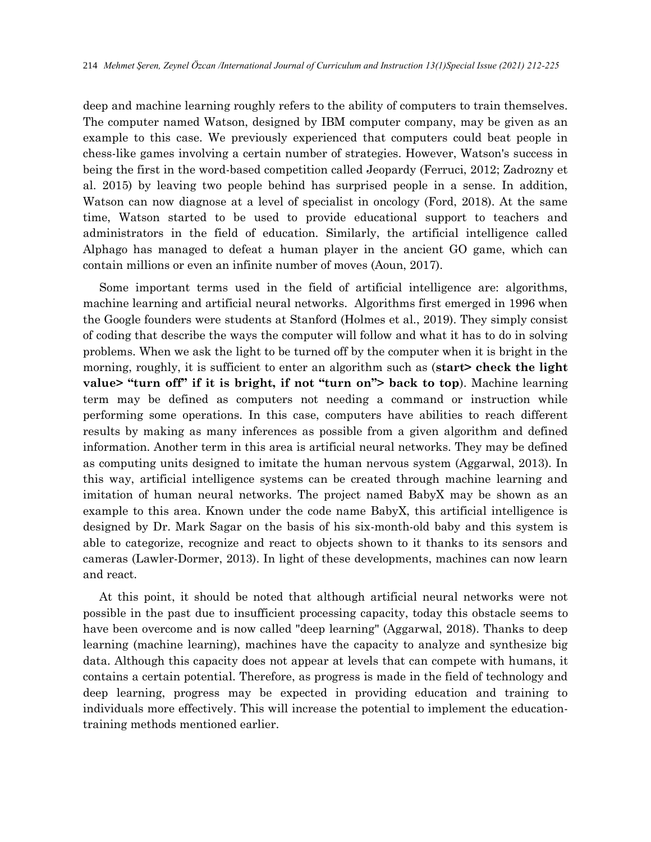deep and machine learning roughly refers to the ability of computers to train themselves. The computer named Watson, designed by IBM computer company, may be given as an example to this case. We previously experienced that computers could beat people in chess-like games involving a certain number of strategies. However, Watson's success in being the first in the word-based competition called Jeopardy (Ferruci, 2012; Zadrozny et al. 2015) by leaving two people behind has surprised people in a sense. In addition, Watson can now diagnose at a level of specialist in oncology (Ford, 2018). At the same time, Watson started to be used to provide educational support to teachers and administrators in the field of education. Similarly, the artificial intelligence called Alphago has managed to defeat a human player in the ancient GO game, which can contain millions or even an infinite number of moves (Aoun, 2017).

 Some important terms used in the field of artificial intelligence are: algorithms, machine learning and artificial neural networks. Algorithms first emerged in 1996 when the Google founders were students at Stanford (Holmes et al., 2019). They simply consist of coding that describe the ways the computer will follow and what it has to do in solving problems. When we ask the light to be turned off by the computer when it is bright in the morning, roughly, it is sufficient to enter an algorithm such as (**start> check the light value> "turn off" if it is bright, if not "turn on"> back to top**). Machine learning term may be defined as computers not needing a command or instruction while performing some operations. In this case, computers have abilities to reach different results by making as many inferences as possible from a given algorithm and defined information. Another term in this area is artificial neural networks. They may be defined as computing units designed to imitate the human nervous system (Aggarwal, 2013). In this way, artificial intelligence systems can be created through machine learning and imitation of human neural networks. The project named BabyX may be shown as an example to this area. Known under the code name BabyX, this artificial intelligence is designed by Dr. Mark Sagar on the basis of his six-month-old baby and this system is able to categorize, recognize and react to objects shown to it thanks to its sensors and cameras (Lawler-Dormer, 2013). In light of these developments, machines can now learn and react.

 At this point, it should be noted that although artificial neural networks were not possible in the past due to insufficient processing capacity, today this obstacle seems to have been overcome and is now called "deep learning" (Aggarwal, 2018). Thanks to deep learning (machine learning), machines have the capacity to analyze and synthesize big data. Although this capacity does not appear at levels that can compete with humans, it contains a certain potential. Therefore, as progress is made in the field of technology and deep learning, progress may be expected in providing education and training to individuals more effectively. This will increase the potential to implement the educationtraining methods mentioned earlier.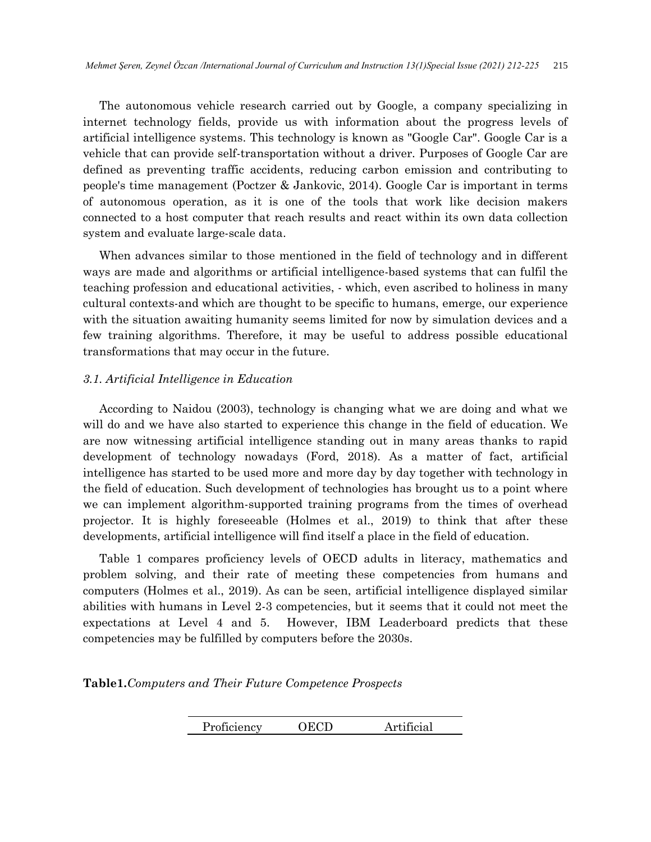The autonomous vehicle research carried out by Google, a company specializing in internet technology fields, provide us with information about the progress levels of artificial intelligence systems. This technology is known as "Google Car". Google Car is a vehicle that can provide self-transportation without a driver. Purposes of Google Car are defined as preventing traffic accidents, reducing carbon emission and contributing to people's time management (Poctzer & Jankovic, 2014). Google Car is important in terms of autonomous operation, as it is one of the tools that work like decision makers connected to a host computer that reach results and react within its own data collection system and evaluate large-scale data.

 When advances similar to those mentioned in the field of technology and in different ways are made and algorithms or artificial intelligence-based systems that can fulfil the teaching profession and educational activities, - which, even ascribed to holiness in many cultural contexts-and which are thought to be specific to humans, emerge, our experience with the situation awaiting humanity seems limited for now by simulation devices and a few training algorithms. Therefore, it may be useful to address possible educational transformations that may occur in the future.

## *3.1. Artificial Intelligence in Education*

 According to Naidou (2003), technology is changing what we are doing and what we will do and we have also started to experience this change in the field of education. We are now witnessing artificial intelligence standing out in many areas thanks to rapid development of technology nowadays (Ford, 2018). As a matter of fact, artificial intelligence has started to be used more and more day by day together with technology in the field of education. Such development of technologies has brought us to a point where we can implement algorithm-supported training programs from the times of overhead projector. It is highly foreseeable (Holmes et al., 2019) to think that after these developments, artificial intelligence will find itself a place in the field of education.

 Table 1 compares proficiency levels of OECD adults in literacy, mathematics and problem solving, and their rate of meeting these competencies from humans and computers (Holmes et al., 2019). As can be seen, artificial intelligence displayed similar abilities with humans in Level 2-3 competencies, but it seems that it could not meet the expectations at Level 4 and 5. However, IBM Leaderboard predicts that these competencies may be fulfilled by computers before the 2030s.

**Table1.***Computers and Their Future Competence Prospects*

| Proficiency | <b>OECD</b> | Artificial |
|-------------|-------------|------------|
|             |             |            |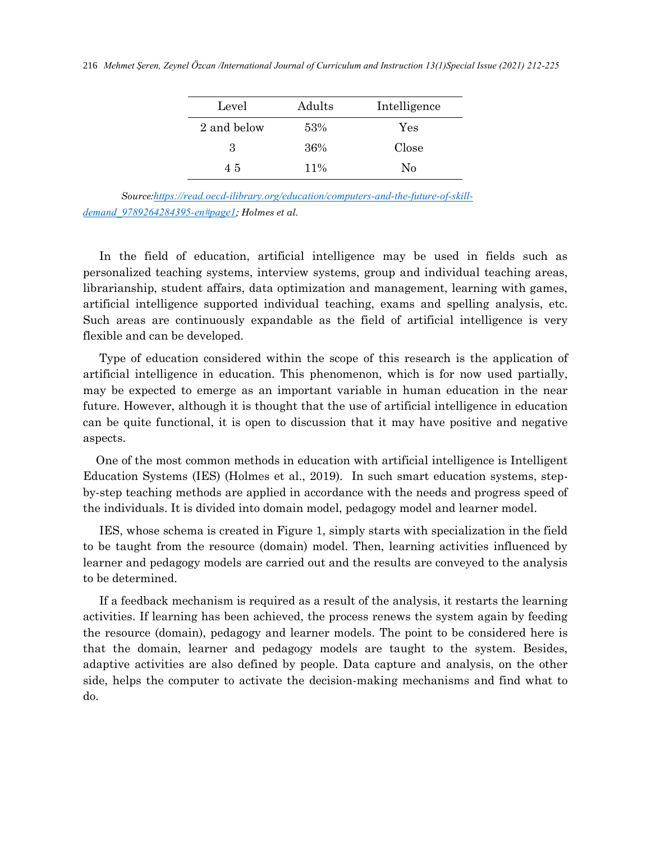| Level       | Adults | Intelligence   |
|-------------|--------|----------------|
| 2 and below | 53%    | Yes            |
| З           | 36%    | Close          |
| 45          | $11\%$ | N <sub>0</sub> |

*Source:[https://read.oecd-ilibrary.org/education/computers-and-the-future-of-skill](https://read.oecd-ilibrary.org/education/computers-and-the-future-of-skill-demand_9789264284395-en#page1)[demand\\_9789264284395-en#page1](https://read.oecd-ilibrary.org/education/computers-and-the-future-of-skill-demand_9789264284395-en#page1); Holmes et al.*

 In the field of education, artificial intelligence may be used in fields such as personalized teaching systems, interview systems, group and individual teaching areas, librarianship, student affairs, data optimization and management, learning with games, artificial intelligence supported individual teaching, exams and spelling analysis, etc. Such areas are continuously expandable as the field of artificial intelligence is very flexible and can be developed.

 Type of education considered within the scope of this research is the application of artificial intelligence in education. This phenomenon, which is for now used partially, may be expected to emerge as an important variable in human education in the near future. However, although it is thought that the use of artificial intelligence in education can be quite functional, it is open to discussion that it may have positive and negative aspects.

 One of the most common methods in education with artificial intelligence is Intelligent Education Systems (IES) (Holmes et al., 2019). In such smart education systems, stepby-step teaching methods are applied in accordance with the needs and progress speed of the individuals. It is divided into domain model, pedagogy model and learner model.

 IES, whose schema is created in Figure 1, simply starts with specialization in the field to be taught from the resource (domain) model. Then, learning activities influenced by learner and pedagogy models are carried out and the results are conveyed to the analysis to be determined.

 If a feedback mechanism is required as a result of the analysis, it restarts the learning activities. If learning has been achieved, the process renews the system again by feeding the resource (domain), pedagogy and learner models. The point to be considered here is that the domain, learner and pedagogy models are taught to the system. Besides, adaptive activities are also defined by people. Data capture and analysis, on the other side, helps the computer to activate the decision-making mechanisms and find what to do.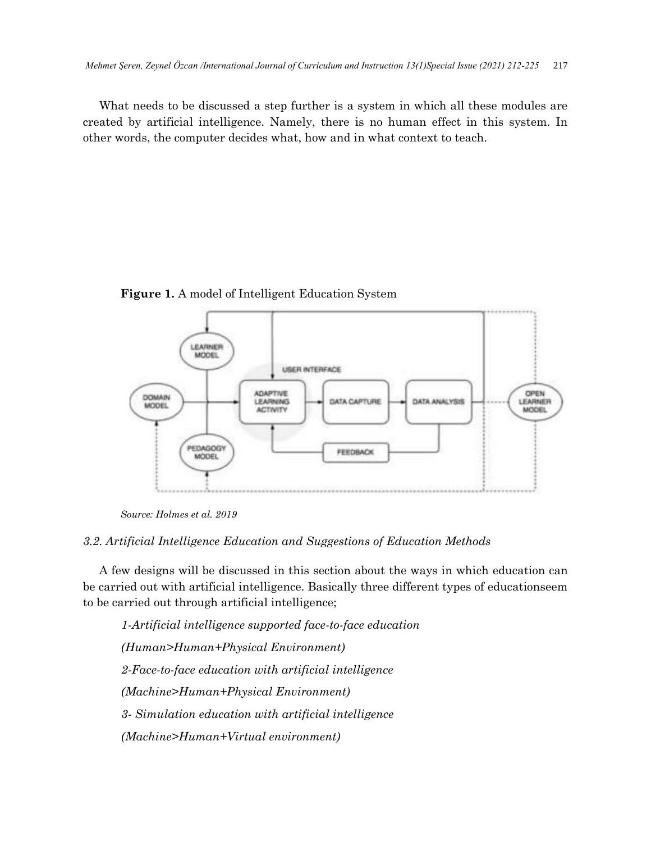What needs to be discussed a step further is a system in which all these modules are created by artificial intelligence. Namely, there is no human effect in this system. In other words, the computer decides what, how and in what context to teach.

**Figure 1.** A model of Intelligent Education System



*Source: Holmes et al. 2019*

## *3.2. Artificial Intelligence Education and Suggestions of Education Methods*

 A few designs will be discussed in this section about the ways in which education can be carried out with artificial intelligence. Basically three different types of educationseem to be carried out through artificial intelligence;

*1-Artificial intelligence supported face-to-face education (Human>Human+Physical Environment) 2-Face-to-face education with artificial intelligence (Machine>Human+Physical Environment) 3- Simulation education with artificial intelligence (Machine>Human+Virtual environment)*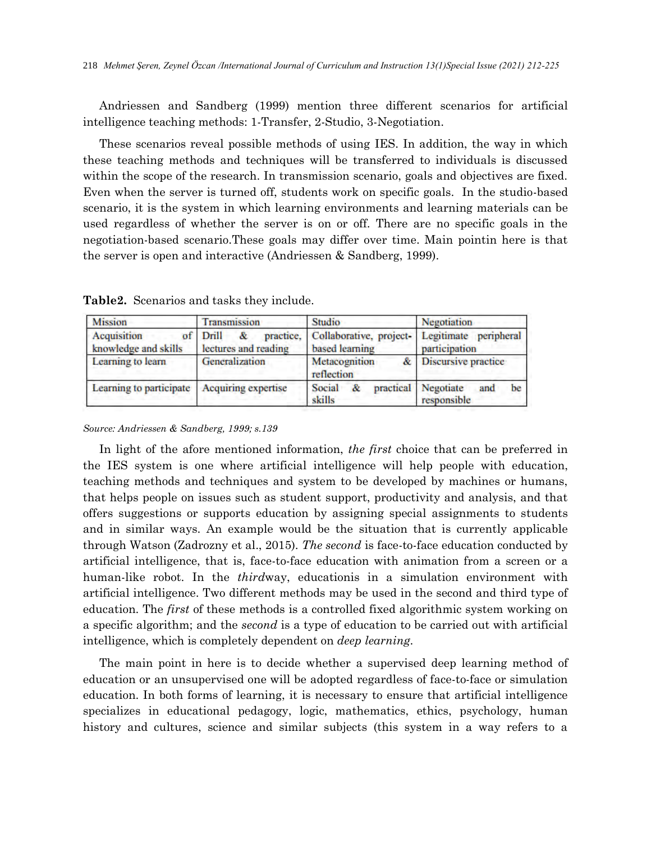Andriessen and Sandberg (1999) mention three different scenarios for artificial intelligence teaching methods: 1-Transfer, 2-Studio, 3-Negotiation.

 These scenarios reveal possible methods of using IES. In addition, the way in which these teaching methods and techniques will be transferred to individuals is discussed within the scope of the research. In transmission scenario, goals and objectives are fixed. Even when the server is turned off, students work on specific goals. In the studio-based scenario, it is the system in which learning environments and learning materials can be used regardless of whether the server is on or off. There are no specific goals in the negotiation-based scenario.These goals may differ over time. Main pointin here is that the server is open and interactive (Andriessen & Sandberg, 1999).

| <b>Mission</b>                      | Transmission                                       | Studio                                    | Negotiation                                     |
|-------------------------------------|----------------------------------------------------|-------------------------------------------|-------------------------------------------------|
| Acquisition<br>knowledge and skills | of Drill<br>practice.<br>&<br>lectures and reading | Collaborative, project-<br>based learning | Legitimate peripheral<br>participation          |
| Learning to learn                   | Generalization                                     | Metacognition<br>reflection               | Discursive practice                             |
| Learning to participate             | Acquiring expertise                                | Social<br>&.<br>skills                    | practical Negotiate<br>be<br>and<br>responsible |

**Table2.** Scenarios and tasks they include.

## *Source: Andriessen & Sandberg, 1999; s.139*

 In light of the afore mentioned information, *the first* choice that can be preferred in the IES system is one where artificial intelligence will help people with education, teaching methods and techniques and system to be developed by machines or humans, that helps people on issues such as student support, productivity and analysis, and that offers suggestions or supports education by assigning special assignments to students and in similar ways. An example would be the situation that is currently applicable through Watson (Zadrozny et al., 2015). *The second* is face-to-face education conducted by artificial intelligence, that is, face-to-face education with animation from a screen or a human-like robot. In the *third*way, educationis in a simulation environment with artificial intelligence. Two different methods may be used in the second and third type of education. The *first* of these methods is a controlled fixed algorithmic system working on a specific algorithm; and the *second* is a type of education to be carried out with artificial intelligence, which is completely dependent on *deep learning*.

 The main point in here is to decide whether a supervised deep learning method of education or an unsupervised one will be adopted regardless of face-to-face or simulation education. In both forms of learning, it is necessary to ensure that artificial intelligence specializes in educational pedagogy, logic, mathematics, ethics, psychology, human history and cultures, science and similar subjects (this system in a way refers to a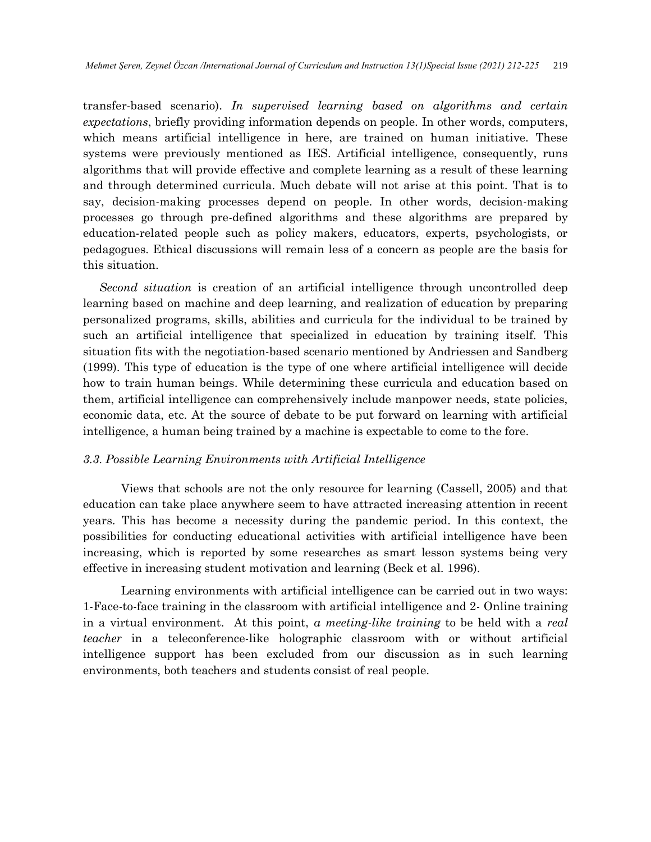transfer-based scenario). *In supervised learning based on algorithms and certain expectations*, briefly providing information depends on people. In other words, computers, which means artificial intelligence in here, are trained on human initiative. These systems were previously mentioned as IES. Artificial intelligence, consequently, runs algorithms that will provide effective and complete learning as a result of these learning and through determined curricula. Much debate will not arise at this point. That is to say, decision-making processes depend on people. In other words, decision-making processes go through pre-defined algorithms and these algorithms are prepared by education-related people such as policy makers, educators, experts, psychologists, or pedagogues. Ethical discussions will remain less of a concern as people are the basis for this situation.

*Second situation* is creation of an artificial intelligence through uncontrolled deep learning based on machine and deep learning, and realization of education by preparing personalized programs, skills, abilities and curricula for the individual to be trained by such an artificial intelligence that specialized in education by training itself. This situation fits with the negotiation-based scenario mentioned by Andriessen and Sandberg (1999). This type of education is the type of one where artificial intelligence will decide how to train human beings. While determining these curricula and education based on them, artificial intelligence can comprehensively include manpower needs, state policies, economic data, etc. At the source of debate to be put forward on learning with artificial intelligence, a human being trained by a machine is expectable to come to the fore.

#### *3.3. Possible Learning Environments with Artificial Intelligence*

Views that schools are not the only resource for learning (Cassell, 2005) and that education can take place anywhere seem to have attracted increasing attention in recent years. This has become a necessity during the pandemic period. In this context, the possibilities for conducting educational activities with artificial intelligence have been increasing, which is reported by some researches as smart lesson systems being very effective in increasing student motivation and learning (Beck et al. 1996).

Learning environments with artificial intelligence can be carried out in two ways: 1-Face-to-face training in the classroom with artificial intelligence and 2- Online training in a virtual environment. At this point, *a meeting-like training* to be held with a *real teacher* in a teleconference-like holographic classroom with or without artificial intelligence support has been excluded from our discussion as in such learning environments, both teachers and students consist of real people.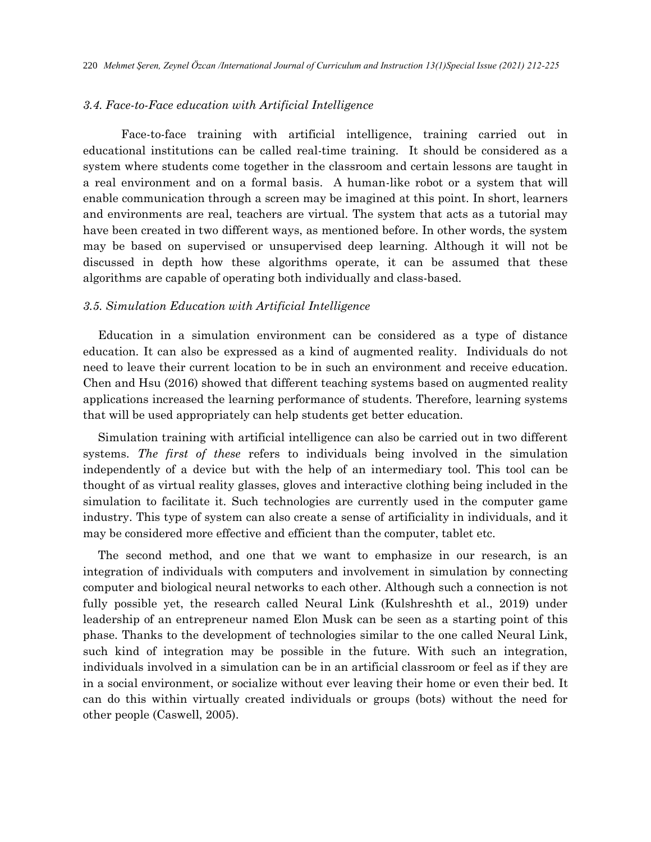## *3.4. Face-to-Face education with Artificial Intelligence*

Face-to-face training with artificial intelligence, training carried out in educational institutions can be called real-time training. It should be considered as a system where students come together in the classroom and certain lessons are taught in a real environment and on a formal basis. A human-like robot or a system that will enable communication through a screen may be imagined at this point. In short, learners and environments are real, teachers are virtual. The system that acts as a tutorial may have been created in two different ways, as mentioned before. In other words, the system may be based on supervised or unsupervised deep learning. Although it will not be discussed in depth how these algorithms operate, it can be assumed that these algorithms are capable of operating both individually and class-based.

#### *3.5. Simulation Education with Artificial Intelligence*

Education in a simulation environment can be considered as a type of distance education. It can also be expressed as a kind of augmented reality. Individuals do not need to leave their current location to be in such an environment and receive education. Chen and Hsu (2016) showed that different teaching systems based on augmented reality applications increased the learning performance of students. Therefore, learning systems that will be used appropriately can help students get better education.

Simulation training with artificial intelligence can also be carried out in two different systems. *The first of these* refers to individuals being involved in the simulation independently of a device but with the help of an intermediary tool. This tool can be thought of as virtual reality glasses, gloves and interactive clothing being included in the simulation to facilitate it. Such technologies are currently used in the computer game industry. This type of system can also create a sense of artificiality in individuals, and it may be considered more effective and efficient than the computer, tablet etc.

The second method, and one that we want to emphasize in our research, is an integration of individuals with computers and involvement in simulation by connecting computer and biological neural networks to each other. Although such a connection is not fully possible yet, the research called Neural Link (Kulshreshth et al., 2019) under leadership of an entrepreneur named Elon Musk can be seen as a starting point of this phase. Thanks to the development of technologies similar to the one called Neural Link, such kind of integration may be possible in the future. With such an integration, individuals involved in a simulation can be in an artificial classroom or feel as if they are in a social environment, or socialize without ever leaving their home or even their bed. It can do this within virtually created individuals or groups (bots) without the need for other people (Caswell, 2005).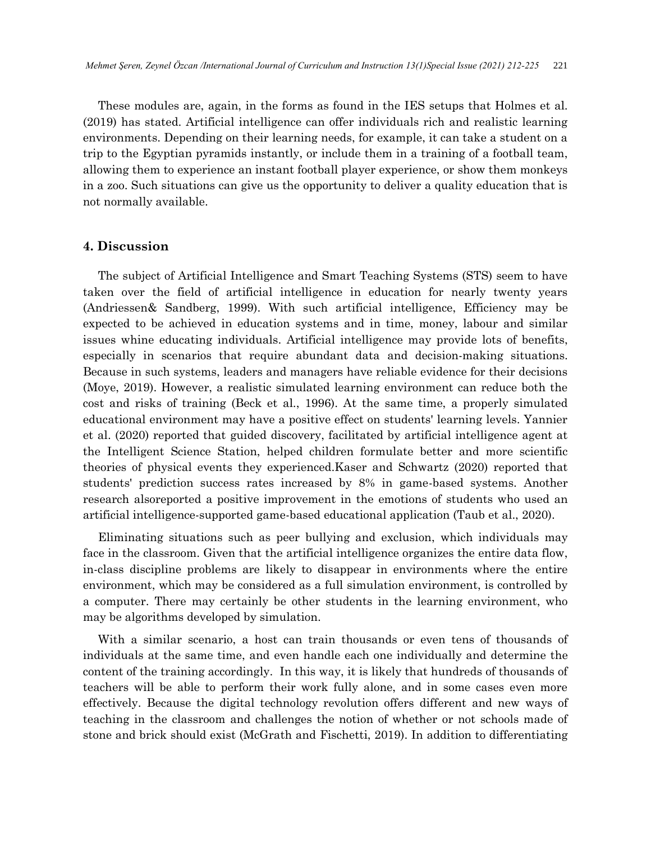These modules are, again, in the forms as found in the IES setups that Holmes et al. (2019) has stated. Artificial intelligence can offer individuals rich and realistic learning environments. Depending on their learning needs, for example, it can take a student on a trip to the Egyptian pyramids instantly, or include them in a training of a football team, allowing them to experience an instant football player experience, or show them monkeys in a zoo. Such situations can give us the opportunity to deliver a quality education that is not normally available.

## **4. Discussion**

The subject of Artificial Intelligence and Smart Teaching Systems (STS) seem to have taken over the field of artificial intelligence in education for nearly twenty years (Andriessen& Sandberg, 1999). With such artificial intelligence, Efficiency may be expected to be achieved in education systems and in time, money, labour and similar issues whine educating individuals. Artificial intelligence may provide lots of benefits, especially in scenarios that require abundant data and decision-making situations. Because in such systems, leaders and managers have reliable evidence for their decisions (Moye, 2019). However, a realistic simulated learning environment can reduce both the cost and risks of training (Beck et al., 1996). At the same time, a properly simulated educational environment may have a positive effect on students' learning levels. Yannier et al. (2020) reported that guided discovery, facilitated by artificial intelligence agent at the Intelligent Science Station, helped children formulate better and more scientific theories of physical events they experienced.Kaser and Schwartz (2020) reported that students' prediction success rates increased by 8% in game-based systems. Another research alsoreported a positive improvement in the emotions of students who used an artificial intelligence-supported game-based educational application (Taub et al., 2020).

Eliminating situations such as peer bullying and exclusion, which individuals may face in the classroom. Given that the artificial intelligence organizes the entire data flow, in-class discipline problems are likely to disappear in environments where the entire environment, which may be considered as a full simulation environment, is controlled by a computer. There may certainly be other students in the learning environment, who may be algorithms developed by simulation.

With a similar scenario, a host can train thousands or even tens of thousands of individuals at the same time, and even handle each one individually and determine the content of the training accordingly. In this way, it is likely that hundreds of thousands of teachers will be able to perform their work fully alone, and in some cases even more effectively. Because the digital technology revolution offers different and new ways of teaching in the classroom and challenges the notion of whether or not schools made of stone and brick should exist (McGrath and Fischetti, 2019). In addition to differentiating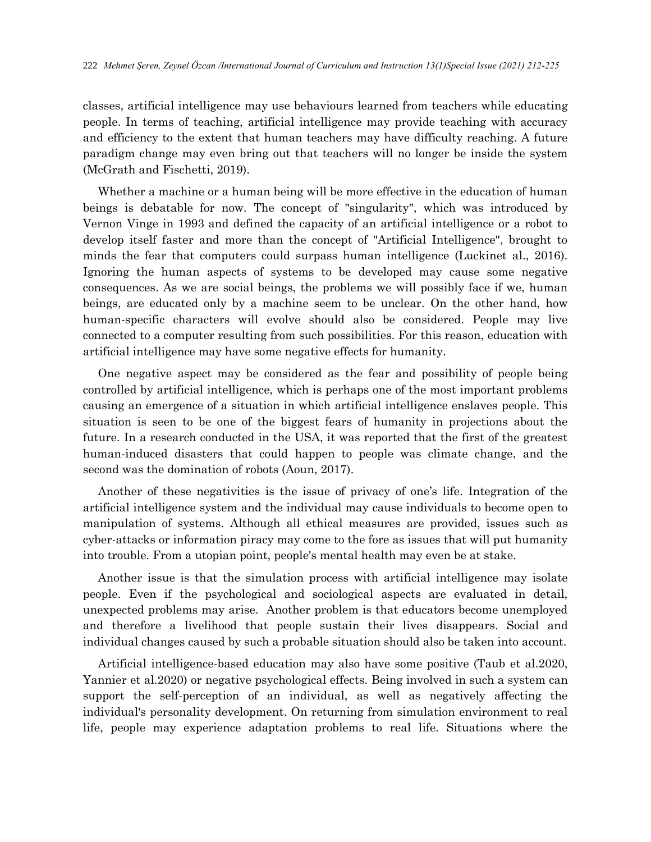classes, artificial intelligence may use behaviours learned from teachers while educating people. In terms of teaching, artificial intelligence may provide teaching with accuracy and efficiency to the extent that human teachers may have difficulty reaching. A future paradigm change may even bring out that teachers will no longer be inside the system (McGrath and Fischetti, 2019).

Whether a machine or a human being will be more effective in the education of human beings is debatable for now. The concept of "singularity", which was introduced by Vernon Vinge in 1993 and defined the capacity of an artificial intelligence or a robot to develop itself faster and more than the concept of "Artificial Intelligence", brought to minds the fear that computers could surpass human intelligence (Luckinet al., 2016). Ignoring the human aspects of systems to be developed may cause some negative consequences. As we are social beings, the problems we will possibly face if we, human beings, are educated only by a machine seem to be unclear. On the other hand, how human-specific characters will evolve should also be considered. People may live connected to a computer resulting from such possibilities. For this reason, education with artificial intelligence may have some negative effects for humanity.

One negative aspect may be considered as the fear and possibility of people being controlled by artificial intelligence, which is perhaps one of the most important problems causing an emergence of a situation in which artificial intelligence enslaves people. This situation is seen to be one of the biggest fears of humanity in projections about the future. In a research conducted in the USA, it was reported that the first of the greatest human-induced disasters that could happen to people was climate change, and the second was the domination of robots (Aoun, 2017).

Another of these negativities is the issue of privacy of one's life. Integration of the artificial intelligence system and the individual may cause individuals to become open to manipulation of systems. Although all ethical measures are provided, issues such as cyber-attacks or information piracy may come to the fore as issues that will put humanity into trouble. From a utopian point, people's mental health may even be at stake.

Another issue is that the simulation process with artificial intelligence may isolate people. Even if the psychological and sociological aspects are evaluated in detail, unexpected problems may arise. Another problem is that educators become unemployed and therefore a livelihood that people sustain their lives disappears. Social and individual changes caused by such a probable situation should also be taken into account.

Artificial intelligence-based education may also have some positive (Taub et al.2020, Yannier et al.2020) or negative psychological effects. Being involved in such a system can support the self-perception of an individual, as well as negatively affecting the individual's personality development. On returning from simulation environment to real life, people may experience adaptation problems to real life. Situations where the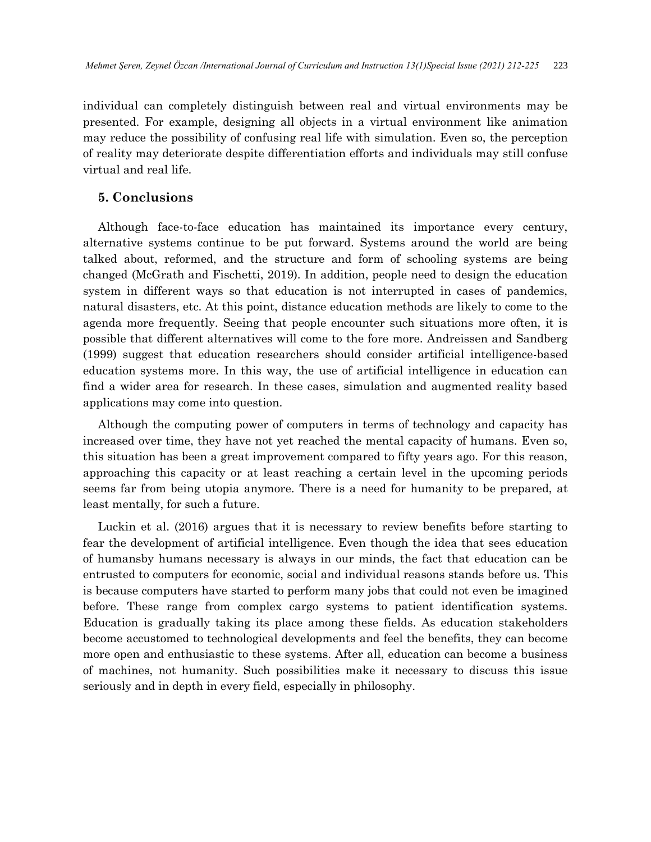individual can completely distinguish between real and virtual environments may be presented. For example, designing all objects in a virtual environment like animation may reduce the possibility of confusing real life with simulation. Even so, the perception of reality may deteriorate despite differentiation efforts and individuals may still confuse virtual and real life.

## **5. Conclusions**

Although face-to-face education has maintained its importance every century, alternative systems continue to be put forward. Systems around the world are being talked about, reformed, and the structure and form of schooling systems are being changed (McGrath and Fischetti, 2019). In addition, people need to design the education system in different ways so that education is not interrupted in cases of pandemics, natural disasters, etc. At this point, distance education methods are likely to come to the agenda more frequently. Seeing that people encounter such situations more often, it is possible that different alternatives will come to the fore more. Andreissen and Sandberg (1999) suggest that education researchers should consider artificial intelligence-based education systems more. In this way, the use of artificial intelligence in education can find a wider area for research. In these cases, simulation and augmented reality based applications may come into question.

Although the computing power of computers in terms of technology and capacity has increased over time, they have not yet reached the mental capacity of humans. Even so, this situation has been a great improvement compared to fifty years ago. For this reason, approaching this capacity or at least reaching a certain level in the upcoming periods seems far from being utopia anymore. There is a need for humanity to be prepared, at least mentally, for such a future.

Luckin et al. (2016) argues that it is necessary to review benefits before starting to fear the development of artificial intelligence. Even though the idea that sees education of humansby humans necessary is always in our minds, the fact that education can be entrusted to computers for economic, social and individual reasons stands before us. This is because computers have started to perform many jobs that could not even be imagined before. These range from complex cargo systems to patient identification systems. Education is gradually taking its place among these fields. As education stakeholders become accustomed to technological developments and feel the benefits, they can become more open and enthusiastic to these systems. After all, education can become a business of machines, not humanity. Such possibilities make it necessary to discuss this issue seriously and in depth in every field, especially in philosophy.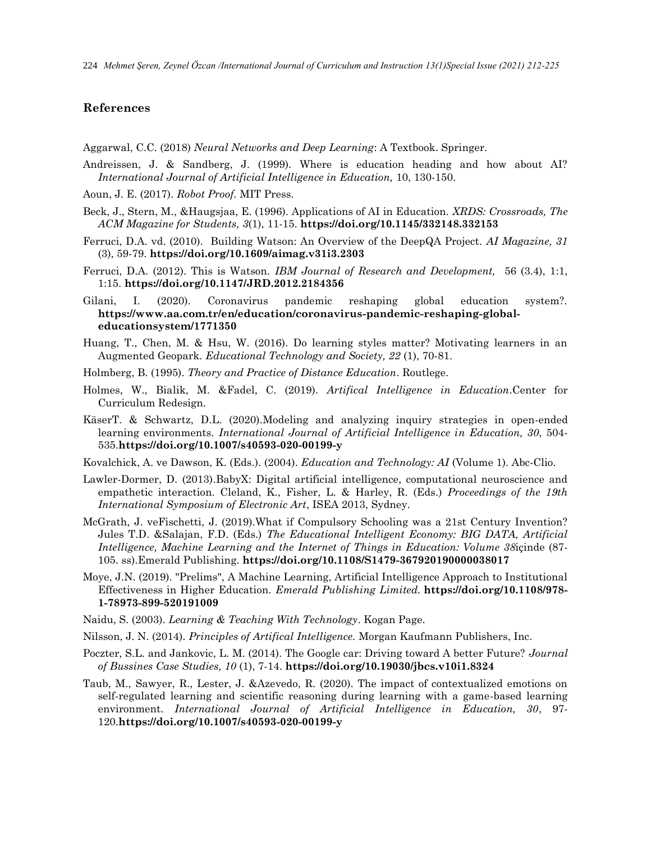224 *Mehmet Şeren, Zeynel Özcan /International Journal of Curriculum and Instruction 13(1)Special Issue (2021) 212-225*

## **References**

Aggarwal, C.C. (2018) *Neural Networks and Deep Learning*: A Textbook. Springer.

- Andreissen, J. & Sandberg, J. (1999). Where is education heading and how about AI? *International Journal of Artificial Intelligence in Education,* 10, 130-150.
- Aoun, J. E. (2017). *Robot Proof.* MIT Press.
- Beck, J., Stern, M., &Haugsjaa, E. (1996). Applications of AI in Education. *XRDS: Crossroads, The ACM Magazine for Students, 3*(1), 11-15. **<https://doi.org/10.1145/332148.332153>**
- Ferruci, D.A. vd. (2010). Building Watson: An Overview of the DeepQA Project. *AI Magazine, 31* (3), 59-79. **https://doi.org/10.1609/aimag.v31i3.2303**
- Ferruci, D.A. (2012). This is Watson. *IBM Journal of Research and Development,* 56 (3.4), 1:1, 1:15. **<https://doi.org/10.1147/JRD.2012.2184356>**
- Gilani, I. (2020). Coronavirus pandemic reshaping global education system?. **https://www.aa.com.tr/en/education/coronavirus-pandemic-reshaping-globaleducationsystem/1771350**
- Huang, T., Chen, M. & Hsu, W. (2016). Do learning styles matter? Motivating learners in an Augmented Geopark*. Educational Technology and Society, 22* (1), 70-81.
- Holmberg, B. (1995). *Theory and Practice of Distance Education*. Routlege.
- Holmes, W., Bialik, M. &Fadel, C. (2019). *Artifical Intelligence in Education*.Center for Curriculum Redesign.
- KäserT. & Schwartz, D.L. (2020).Modeling and analyzing inquiry strategies in open-ended learning environments. *International Journal of Artificial Intelligence in Education, 30*, 504- 535.**<https://doi.org/10.1007/s40593-020-00199-y>**
- Kovalchick, A. ve Dawson, K. (Eds.). (2004). *Education and Technology: AI* (Volume 1). Abc-Clio.
- Lawler-Dormer, D. (2013).BabyX: Digital artificial intelligence, computational neuroscience and empathetic interaction. Cleland, K., Fisher, L. & Harley, R. (Eds.) *Proceedings of the 19th International Symposium of Electronic Art*, ISEA 2013, Sydney.
- McGrath, J. veFischetti, J. (2019).What if Compulsory Schooling was a 21st Century Invention? Jules T.D. &Salajan, F.D. (Eds.) *The Educational Intelligent Economy: BIG DATA, Artificial Intelligence, Machine Learning and the Internet of Things in Education: Volume 38*içinde (87- 105. ss).Emerald Publishing. **<https://doi.org/10.1108/S1479-367920190000038017>**
- [Moye, J.N.](https://www.emerald.com/insight/search?q=John%20N.%20Moye) (2019). "Prelims", A Machine Learning, Artificial Intelligence Approach to Institutional Effectiveness in Higher Education. *Emerald Publishing Limited.* **[https://doi.org/10.1108/978-](https://doi.org/10.1108/978-1-78973-899-520191009) [1-78973-899-520191009](https://doi.org/10.1108/978-1-78973-899-520191009)**
- Naidu, S. (2003). *Learning & Teaching With Technology*. Kogan Page.
- Nilsson, J. N. (2014). *Principles of Artifical Intelligence.* Morgan Kaufmann Publishers, Inc.
- Poczter, S.L. and Jankovic, L. M. (2014). The Google car: Driving toward A better Future? *Journal of Bussines Case Studies, 10* (1), 7-14. **<https://doi.org/10.19030/jbcs.v10i1.8324>**
- Taub, M., Sawyer, R., Lester, J. &Azevedo, R. (2020). The impact of contextualized emotions on self-regulated learning and scientific reasoning during learning with a game-based learning environment. *International Journal of Artificial Intelligence in Education, 30*, 97- 120.**<https://doi.org/10.1007/s40593-020-00199-y>**